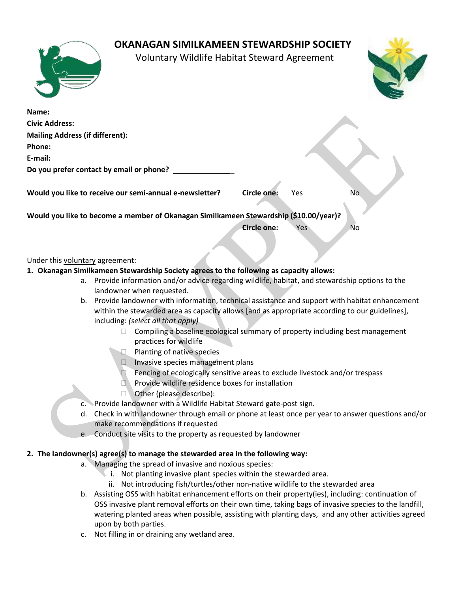## **OKANAGAN SIMILKAMEEN STEWARDSHIP SOCIETY**

Voluntary Wildlife Habitat Steward Agreement



| Name:                                                                                 |                    |     |     |
|---------------------------------------------------------------------------------------|--------------------|-----|-----|
| <b>Civic Address:</b>                                                                 |                    |     |     |
| <b>Mailing Address (if different):</b>                                                |                    |     |     |
| Phone:                                                                                |                    |     |     |
| E-mail:                                                                               |                    |     |     |
| Do you prefer contact by email or phone?                                              |                    |     |     |
|                                                                                       |                    |     |     |
| Would you like to receive our semi-annual e-newsletter?                               | <b>Circle one:</b> | Yes | No. |
|                                                                                       |                    |     |     |
| Would you like to become a member of Okanagan Similkameen Stewardship (\$10.00/year)? |                    |     |     |
|                                                                                       | <b>Circle one:</b> | Yes | No. |
|                                                                                       |                    |     |     |

### Under this voluntary agreement:

- **1. Okanagan Similkameen Stewardship Society agrees to the following as capacity allows:**
	- a. Provide information and/or advice regarding wildlife, habitat, and stewardship options to the landowner when requested.
	- b. Provide landowner with information, technical assistance and support with habitat enhancement within the stewarded area as capacity allows [and as appropriate according to our guidelines], including: *(select all that apply)*
		- $\Box$  Compiling a baseline ecological summary of property including best management practices for wildlife
		- Planting of native species
		- Invasive species management plans
		- Fencing of ecologically sensitive areas to exclude livestock and/or trespass
		- Provide wildlife residence boxes for installation
		- Other (please describe):
	- c. Provide landowner with a Wildlife Habitat Steward gate-post sign.
	- d. Check in with landowner through email or phone at least once per year to answer questions and/or make recommendations if requested
	- e. Conduct site visits to the property as requested by landowner

### **2. The landowner(s) agree(s) to manage the stewarded area in the following way:**

- a. Managing the spread of invasive and noxious species:
	- i. Not planting invasive plant species within the stewarded area.
	- ii. Not introducing fish/turtles/other non-native wildlife to the stewarded area
- b. Assisting OSS with habitat enhancement efforts on their property(ies), including: continuation of OSS invasive plant removal efforts on their own time, taking bags of invasive species to the landfill, watering planted areas when possible, assisting with planting days, and any other activities agreed upon by both parties.
- c. Not filling in or draining any wetland area.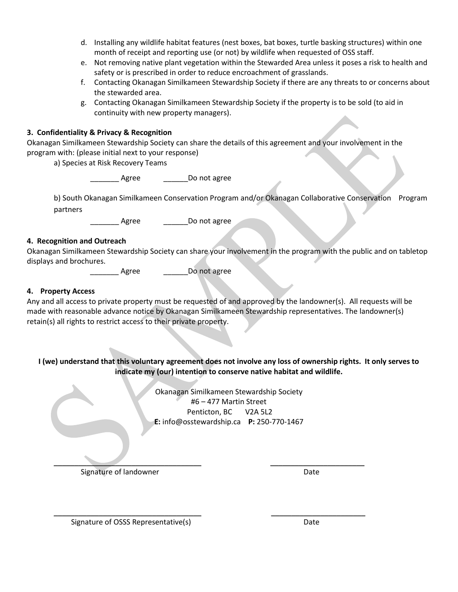- d. Installing any wildlife habitat features (nest boxes, bat boxes, turtle basking structures) within one month of receipt and reporting use (or not) by wildlife when requested of OSS staff.
- e. Not removing native plant vegetation within the Stewarded Area unless it poses a risk to health and safety or is prescribed in order to reduce encroachment of grasslands.
- f. Contacting Okanagan Similkameen Stewardship Society if there are any threats to or concerns about the stewarded area.
- g. Contacting Okanagan Similkameen Stewardship Society if the property is to be sold (to aid in continuity with new property managers).

### **3. Confidentiality & Privacy & Recognition**

Okanagan Similkameen Stewardship Society can share the details of this agreement and your involvement in the program with: (please initial next to your response)

a) Species at Risk Recovery Teams

Agree Do not agree

b) South Okanagan Similkameen Conservation Program and/or Okanagan Collaborative Conservation Program partners

\_Agree \_\_\_\_\_\_\_\_\_Do not agree

#### **4. Recognition and Outreach**

Okanagan Similkameen Stewardship Society can share your involvement in the program with the public and on tabletop displays and brochures.

Agree \_\_\_\_\_\_\_\_\_\_\_ Do not agree

### **4. Property Access**

Any and all access to private property must be requested of and approved by the landowner(s). All requests will be made with reasonable advance notice by Okanagan Similkameen Stewardship representatives. The landowner(s) retain(s) all rights to restrict access to their private property.

### **I (we) understand that this voluntary agreement does not involve any loss of ownership rights. It only serves to indicate my (our) intention to conserve native habitat and wildlife.**

Okanagan Similkameen Stewardship Societ[y](mailto:okanaganstewardship@gmail.com) #6 – [477 Martin Street](mailto:okanaganstewardship@gmail.com) [Penticton, BC V2A 5L2](mailto:okanaganstewardship@gmail.com) **E:** info@osstewardship.ca **P:** 250-770-1467

\_\_\_\_\_\_\_\_\_\_\_\_\_\_\_\_\_\_\_\_\_\_\_\_\_\_\_\_\_\_\_\_\_\_\_\_ \_\_\_\_\_\_\_\_\_\_\_\_\_\_\_\_\_\_\_\_\_\_\_

 $\overline{\phantom{a}}$  ,  $\overline{\phantom{a}}$  ,  $\overline{\phantom{a}}$  ,  $\overline{\phantom{a}}$  ,  $\overline{\phantom{a}}$  ,  $\overline{\phantom{a}}$  ,  $\overline{\phantom{a}}$  ,  $\overline{\phantom{a}}$  ,  $\overline{\phantom{a}}$  ,  $\overline{\phantom{a}}$  ,  $\overline{\phantom{a}}$  ,  $\overline{\phantom{a}}$  ,  $\overline{\phantom{a}}$  ,  $\overline{\phantom{a}}$  ,  $\overline{\phantom{a}}$  ,  $\overline{\phantom{a}}$ Signature of landowner **Date** 

Signature of OSSS Representative(s) and the control of Date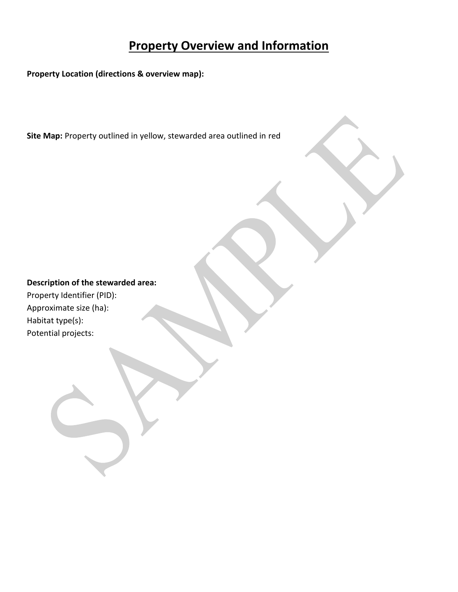# **Property Overview and Information**

**Property Location (directions & overview map):** 

**Site Map:** Property outlined in yellow, stewarded area outlined in red

### **Description of the stewarded area:**

Property Identifier (PID): Approximate size (ha): Habitat type(s): Potential projects: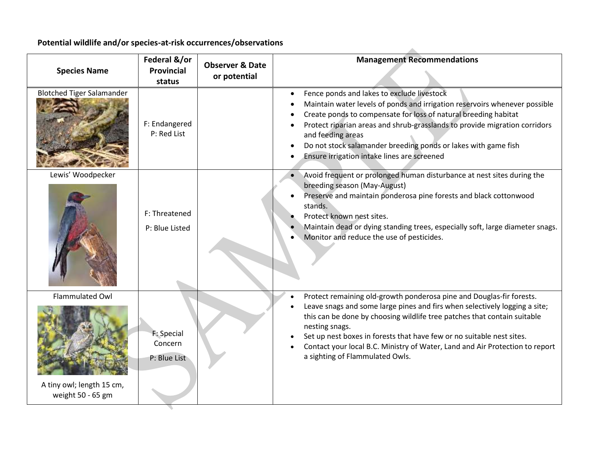# **Potential wildlife and/or species-at-risk occurrences/observations**

| <b>Species Name</b>                                               | Federal &/or<br><b>Provincial</b><br>status | <b>Observer &amp; Date</b><br>or potential | <b>Management Recommendations</b>                                                                                                                                                                                                                                                                                                                                                                                                            |
|-------------------------------------------------------------------|---------------------------------------------|--------------------------------------------|----------------------------------------------------------------------------------------------------------------------------------------------------------------------------------------------------------------------------------------------------------------------------------------------------------------------------------------------------------------------------------------------------------------------------------------------|
| <b>Blotched Tiger Salamander</b>                                  | F: Endangered<br>P: Red List                |                                            | Fence ponds and lakes to exclude livestock<br>$\bullet$<br>Maintain water levels of ponds and irrigation reservoirs whenever possible<br>Create ponds to compensate for loss of natural breeding habitat<br>Protect riparian areas and shrub-grasslands to provide migration corridors<br>and feeding areas<br>Do not stock salamander breeding ponds or lakes with game fish<br>Ensure irrigation intake lines are screened                 |
| Lewis' Woodpecker                                                 | F: Threatened<br>P: Blue Listed             |                                            | Avoid frequent or prolonged human disturbance at nest sites during the<br>breeding season (May-August)<br>Preserve and maintain ponderosa pine forests and black cottonwood<br>stands.<br>Protect known nest sites.<br>Maintain dead or dying standing trees, especially soft, large diameter snags.<br>Monitor and reduce the use of pesticides.                                                                                            |
| Flammulated Owl<br>A tiny owl; length 15 cm,<br>weight 50 - 65 gm | F: Special<br>Concern<br>P: Blue List       |                                            | Protect remaining old-growth ponderosa pine and Douglas-fir forests.<br>Leave snags and some large pines and firs when selectively logging a site;<br>this can be done by choosing wildlife tree patches that contain suitable<br>nesting snags.<br>Set up nest boxes in forests that have few or no suitable nest sites.<br>Contact your local B.C. Ministry of Water, Land and Air Protection to report<br>a sighting of Flammulated Owls. |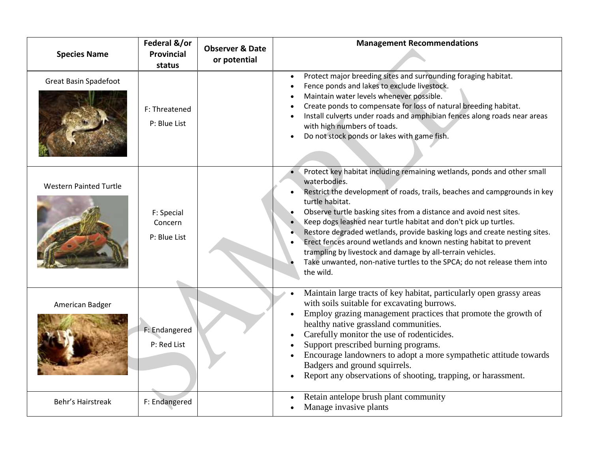| <b>Species Name</b>           | Federal &/or<br><b>Provincial</b><br>status | <b>Observer &amp; Date</b><br>or potential | <b>Management Recommendations</b>                                                                                                                                                                                                                                                                                                                                                                                                                                                                                                                                                                                                         |
|-------------------------------|---------------------------------------------|--------------------------------------------|-------------------------------------------------------------------------------------------------------------------------------------------------------------------------------------------------------------------------------------------------------------------------------------------------------------------------------------------------------------------------------------------------------------------------------------------------------------------------------------------------------------------------------------------------------------------------------------------------------------------------------------------|
| <b>Great Basin Spadefoot</b>  | F: Threatened<br>P: Blue List               |                                            | Protect major breeding sites and surrounding foraging habitat.<br>Fence ponds and lakes to exclude livestock.<br>Maintain water levels whenever possible.<br>Create ponds to compensate for loss of natural breeding habitat.<br>Install culverts under roads and amphibian fences along roads near areas<br>with high numbers of toads.<br>Do not stock ponds or lakes with game fish.                                                                                                                                                                                                                                                   |
| <b>Western Painted Turtle</b> | F: Special<br>Concern<br>P: Blue List       |                                            | Protect key habitat including remaining wetlands, ponds and other small<br>waterbodies.<br>Restrict the development of roads, trails, beaches and campgrounds in key<br>turtle habitat.<br>Observe turtle basking sites from a distance and avoid nest sites.<br>Keep dogs leashed near turtle habitat and don't pick up turtles.<br>Restore degraded wetlands, provide basking logs and create nesting sites.<br>Erect fences around wetlands and known nesting habitat to prevent<br>trampling by livestock and damage by all-terrain vehicles.<br>Take unwanted, non-native turtles to the SPCA; do not release them into<br>the wild. |
| American Badger               | F: Endangered<br>P: Red List                |                                            | Maintain large tracts of key habitat, particularly open grassy areas<br>with soils suitable for excavating burrows.<br>Employ grazing management practices that promote the growth of<br>healthy native grassland communities.<br>Carefully monitor the use of rodenticides.<br>Support prescribed burning programs.<br>Encourage landowners to adopt a more sympathetic attitude towards<br>Badgers and ground squirrels.<br>Report any observations of shooting, trapping, or harassment.                                                                                                                                               |
| Behr's Hairstreak             | F: Endangered                               |                                            | Retain antelope brush plant community<br>Manage invasive plants                                                                                                                                                                                                                                                                                                                                                                                                                                                                                                                                                                           |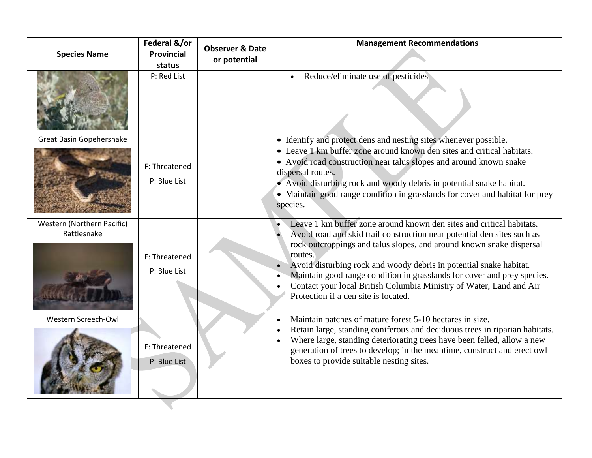| <b>Species Name</b>                       | Federal &/or<br><b>Provincial</b><br>status | <b>Observer &amp; Date</b><br>or potential | <b>Management Recommendations</b>                                                                                                                                                                                                                                                                                                                                                                                                                                                                  |
|-------------------------------------------|---------------------------------------------|--------------------------------------------|----------------------------------------------------------------------------------------------------------------------------------------------------------------------------------------------------------------------------------------------------------------------------------------------------------------------------------------------------------------------------------------------------------------------------------------------------------------------------------------------------|
|                                           | P: Red List                                 |                                            | Reduce/eliminate use of pesticides                                                                                                                                                                                                                                                                                                                                                                                                                                                                 |
| Great Basin Gopehersnake                  | F: Threatened<br>P: Blue List               |                                            | • Identify and protect dens and nesting sites whenever possible.<br>• Leave 1 km buffer zone around known den sites and critical habitats.<br>• Avoid road construction near talus slopes and around known snake<br>dispersal routes.<br>• Avoid disturbing rock and woody debris in potential snake habitat.<br>• Maintain good range condition in grasslands for cover and habitat for prey<br>species.                                                                                          |
| Western (Northern Pacific)<br>Rattlesnake | F: Threatened<br>P: Blue List               |                                            | Leave 1 km buffer zone around known den sites and critical habitats.<br>Avoid road and skid trail construction near potential den sites such as<br>rock outcroppings and talus slopes, and around known snake dispersal<br>routes.<br>Avoid disturbing rock and woody debris in potential snake habitat.<br>Maintain good range condition in grasslands for cover and prey species.<br>Contact your local British Columbia Ministry of Water, Land and Air<br>Protection if a den site is located. |
| Western Screech-Owl                       | F: Threatened<br>P: Blue List               |                                            | Maintain patches of mature forest 5-10 hectares in size.<br>$\bullet$<br>Retain large, standing coniferous and deciduous trees in riparian habitats.<br>Where large, standing deteriorating trees have been felled, allow a new<br>generation of trees to develop; in the meantime, construct and erect owl<br>boxes to provide suitable nesting sites.                                                                                                                                            |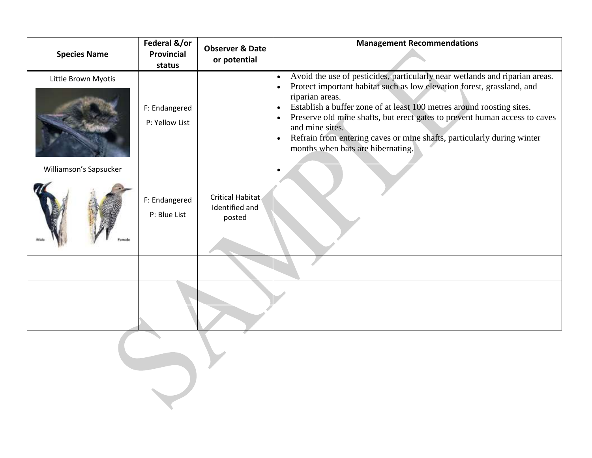| <b>Species Name</b>    | Federal &/or<br>Provincial<br>status | <b>Observer &amp; Date</b><br>or potential          | <b>Management Recommendations</b>                                                                                                                                                                                                                                                                                                                                                                                                                                                                                                  |
|------------------------|--------------------------------------|-----------------------------------------------------|------------------------------------------------------------------------------------------------------------------------------------------------------------------------------------------------------------------------------------------------------------------------------------------------------------------------------------------------------------------------------------------------------------------------------------------------------------------------------------------------------------------------------------|
| Little Brown Myotis    | F: Endangered<br>P: Yellow List      |                                                     | Avoid the use of pesticides, particularly near wetlands and riparian areas.<br>$\bullet$<br>Protect important habitat such as low elevation forest, grassland, and<br>$\bullet$<br>riparian areas.<br>Establish a buffer zone of at least 100 metres around roosting sites.<br>$\bullet$<br>Preserve old mine shafts, but erect gates to prevent human access to caves<br>$\bullet$<br>and mine sites.<br>Refrain from entering caves or mine shafts, particularly during winter<br>$\bullet$<br>months when bats are hibernating. |
| Williamson's Sapsucker | F: Endangered<br>P: Blue List        | <b>Critical Habitat</b><br>Identified and<br>posted |                                                                                                                                                                                                                                                                                                                                                                                                                                                                                                                                    |
|                        |                                      |                                                     |                                                                                                                                                                                                                                                                                                                                                                                                                                                                                                                                    |
|                        |                                      |                                                     |                                                                                                                                                                                                                                                                                                                                                                                                                                                                                                                                    |
|                        |                                      |                                                     |                                                                                                                                                                                                                                                                                                                                                                                                                                                                                                                                    |
|                        |                                      |                                                     |                                                                                                                                                                                                                                                                                                                                                                                                                                                                                                                                    |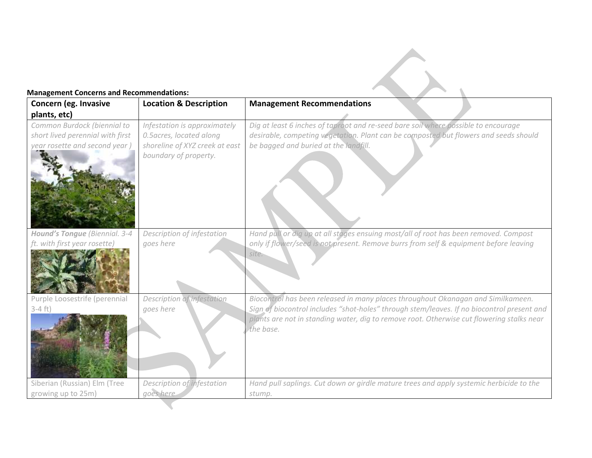### **Management Concerns and Recommendations:**

| Concern (eg. Invasive                                                                            | <b>Location &amp; Description</b>                                                                                   | <b>Management Recommendations</b>                                                                                                                                                                                                                                                        |
|--------------------------------------------------------------------------------------------------|---------------------------------------------------------------------------------------------------------------------|------------------------------------------------------------------------------------------------------------------------------------------------------------------------------------------------------------------------------------------------------------------------------------------|
| plants, etc)                                                                                     |                                                                                                                     |                                                                                                                                                                                                                                                                                          |
| Common Burdock (biennial to<br>short lived perennial with first<br>year rosette and second year) | Infestation is approximately<br>0.5 acres, located along<br>shoreline of XYZ creek at east<br>boundary of property. | Dig at least 6 inches of taproot and re-seed bare soil where possible to encourage<br>desirable, competing vegetation. Plant can be composted but flowers and seeds should<br>be bagged and buried at the landfill.                                                                      |
| Hound's Tongue (Biennial. 3-4<br>ft. with first year rosette)                                    | Description of infestation<br>goes here                                                                             | Hand pull or dig up at all stages ensuing most/all of root has been removed. Compost<br>only if flower/seed is not present. Remove burrs from self & equipment before leaving<br>site.                                                                                                   |
| Purple Loosestrife (perennial<br>$3-4$ ft)                                                       | Description of infestation<br>goes here                                                                             | Biocontrol has been released in many places throughout Okanagan and Similkameen.<br>Sign of biocontrol includes "shot-holes" through stem/leaves. If no biocontrol present and<br>plants are not in standing water, dig to remove root. Otherwise cut flowering stalks near<br>the base. |
| Siberian (Russian) Elm (Tree<br>growing up to 25m)                                               | Description of infestation<br>goes here                                                                             | Hand pull saplings. Cut down or girdle mature trees and apply systemic herbicide to the<br>stump.                                                                                                                                                                                        |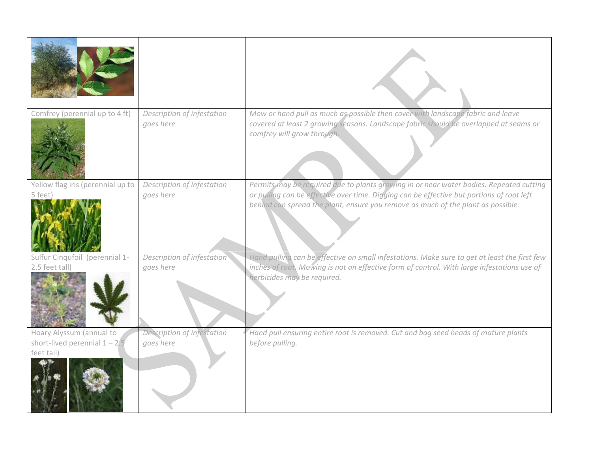| Comfrey (perennial up to 4 ft)                                            | Description of infestation<br>goes here | Mow or hand pull as much as possible then cover with landscape fabric and leave<br>covered at least 2 growing seasons. Landscape fabric should be overlapped at seams or<br>comfrey will grow through.                                                                   |
|---------------------------------------------------------------------------|-----------------------------------------|--------------------------------------------------------------------------------------------------------------------------------------------------------------------------------------------------------------------------------------------------------------------------|
| Yellow flag iris (perennial up to<br>5 feet)                              | Description of infestation<br>goes here | Permits may be required due to plants growing in or near water bodies. Repeated cutting<br>or pulling can be effective over time. Digging can be effective but portions of root left<br>behind can spread the plant, ensure you remove as much of the plant as possible. |
| Sulfur Cinqufoil (perennial 1-<br>2.5 feet tall)                          | Description of infestation<br>goes here | Hand pulling can be effective on small infestations. Make sure to get at least the first few<br>inches of root. Mowing is not an effective form of control. With large infestations use of<br>herbicides may be required.                                                |
| Hoary Alyssum (annual to<br>short-lived perennial $1 - 2/5$<br>feet tall) | Description of infestation<br>goes here | Hand pull ensuring entire root is removed. Cut and bag seed heads of mature plants<br>before pulling.                                                                                                                                                                    |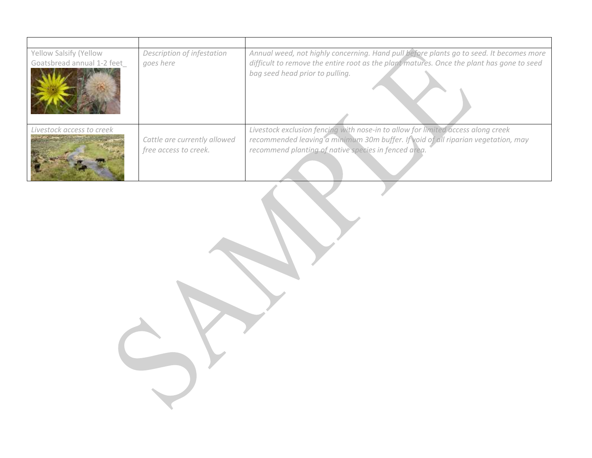| Yellow Salsify (Yellow<br>Goatsbread annual 1-2 feet | Description of infestation<br>goes here               | Annual weed, not highly concerning. Hand pull before plants go to seed. It becomes more<br>difficult to remove the entire root as the plant matures. Once the plant has gone to seed<br>bag seed head prior to pulling.       |
|------------------------------------------------------|-------------------------------------------------------|-------------------------------------------------------------------------------------------------------------------------------------------------------------------------------------------------------------------------------|
| Livestock access to creek                            | Cattle are currently allowed<br>free access to creek. | Livestock exclusion fencing with nose-in to allow for limited access along creek<br>recommended leaving a minimum 30m buffer. If void of all riparian vegetation, may<br>recommend planting of native species in fenced area. |